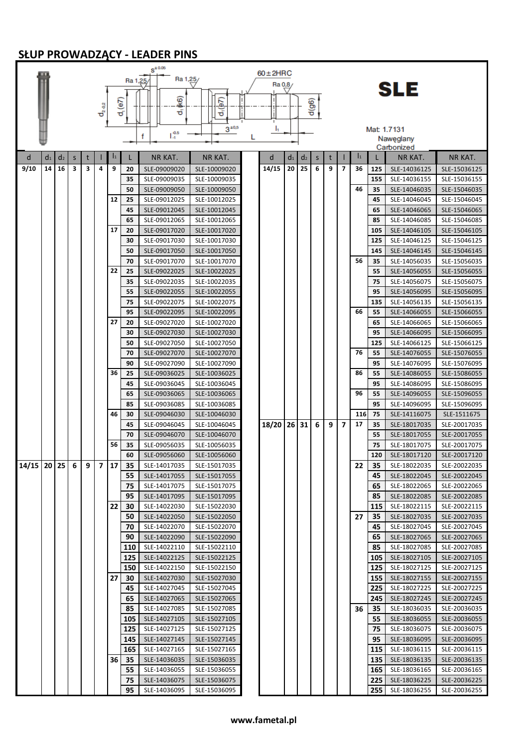## **SŁUP PROWADZĄCY - LEADER PINS**

|                                       |    |                |         |   |      |                |            | $S^{\pm 0.05}$               |                              |   | $60\pm2HRC$ |                |                |          |   |                          |                 |            |                              |                              |
|---------------------------------------|----|----------------|---------|---|------|----------------|------------|------------------------------|------------------------------|---|-------------|----------------|----------------|----------|---|--------------------------|-----------------|------------|------------------------------|------------------------------|
|                                       |    |                |         |   |      |                | Ra 1,25    | Ra 1,25/                     |                              |   | Ra 0,8      |                |                |          |   |                          |                 |            |                              |                              |
|                                       |    |                |         |   |      |                |            |                              |                              |   |             |                |                |          |   |                          |                 |            | SLE                          |                              |
|                                       |    |                |         |   | ರೈಷಿ |                | $d_i$ (e7) | (\$M                         | $d_1(\frac{1}{2})$           |   |             |                |                | $d$ (g6) |   |                          |                 |            |                              |                              |
|                                       |    |                |         |   |      |                |            | ಕ                            |                              |   |             |                |                |          |   |                          |                 |            |                              |                              |
|                                       |    |                |         |   |      |                |            |                              | $3^{*0,5}$                   |   | h           |                |                |          |   |                          |                 |            | Mat 1.7131                   |                              |
|                                       |    |                |         |   |      |                |            | $L_1^{0.5}$<br>f             |                              | L |             |                |                |          |   |                          |                 |            | Naweglany                    |                              |
|                                       |    |                |         |   |      |                |            |                              |                              |   |             |                |                |          |   |                          |                 |            | Carbonized                   |                              |
| d                                     | d1 | d <sub>2</sub> | $\sf S$ | t |      | $\mathbf{I}_1$ | Г          | NR KAT.                      | <b>NR KAT.</b>               |   | d           | d <sub>1</sub> | d <sub>2</sub> | S        | t |                          | $\vert_1$       |            | NR KAT.                      | <b>NR KAT.</b>               |
| 9/10                                  | 14 | 16             | 3       | з | 4    | 9              | 20         | SLE-09009020                 | SLE-10009020                 |   | 14/15       | 20             | 25             | 6        | 9 | 7                        | 36              | 125        | SLE-14036125                 | SLE-15036125                 |
|                                       |    |                |         |   |      |                | 35         | SLE-09009035                 | SLE-10009035                 |   |             |                |                |          |   |                          |                 | 155        | SLE-14036155                 | SLE-15036155                 |
|                                       |    |                |         |   |      |                | 50         | SLE-09009050                 | SLE-10009050                 |   |             |                |                |          |   |                          | 46              | 35         | SLE-14046035                 | SLE-15046035                 |
|                                       |    |                |         |   |      | 12             | 25         | SLE-09012025                 | SLE-10012025                 |   |             |                |                |          |   |                          |                 | 45         | SLE-14046045                 | SLE-15046045                 |
|                                       |    |                |         |   |      |                | 45<br>65   | SLE-09012045                 | SLE-10012045                 |   |             |                |                |          |   |                          |                 | 65         | SLE-14046065                 | SLE-15046065                 |
|                                       |    |                |         |   |      | 17             | 20         | SLE-09012065<br>SLE-09017020 | SLE-10012065<br>SLE-10017020 |   |             |                |                |          |   |                          |                 | 85<br>105  | SLE-14046085<br>SLE-14046105 | SLE-15046085<br>SLE-15046105 |
|                                       |    |                |         |   |      |                | 30         | SLE-09017030                 | SLE-10017030                 |   |             |                |                |          |   |                          |                 | 125        | SLE-14046125                 | SLE-15046125                 |
|                                       |    |                |         |   |      |                | 50         | SLE-09017050                 | SLE-10017050                 |   |             |                |                |          |   |                          |                 | 145        | SLE-14046145                 | SLE-15046145                 |
|                                       |    |                |         |   |      |                | 70         | SLE-09017070                 | SLE-10017070                 |   |             |                |                |          |   |                          | 56              | 35         | SLE-14056035                 | SLE-15056035                 |
|                                       |    |                |         |   |      | 22             | 25         | SLE-09022025                 | SLE-10022025                 |   |             |                |                |          |   |                          |                 | 55         | SLE-14056055                 | SLE-15056055                 |
|                                       |    |                |         |   |      |                | 35         | SLE-09022035                 | SLE-10022035                 |   |             |                |                |          |   |                          |                 | 75         | SLE-14056075                 | SLE-15056075                 |
|                                       |    |                |         |   |      |                | 55         | SLE-09022055                 | SLE-10022055                 |   |             |                |                |          |   |                          |                 | 95         | SLE-14056095                 | SLE-15056095                 |
|                                       |    |                |         |   |      |                | 75         | SLE-09022075                 | SLE-10022075                 |   |             |                |                |          |   |                          |                 | 135        | SLE-14056135                 | SLE-15056135                 |
|                                       |    |                |         |   |      |                | 95         | SLE-09022095                 | SLE-10022095                 |   |             |                |                |          |   |                          | 66              | 55         | SLE-14066055                 | SLE-15066055                 |
|                                       |    |                |         |   |      | 27             | 20         | SLE-09027020                 | SLE-10027020                 |   |             |                |                |          |   |                          |                 | 65         | SLE-14066065                 | SLE-15066065                 |
|                                       |    |                |         |   |      |                | 30         | SLE-09027030                 | SLE-10027030                 |   |             |                |                |          |   |                          |                 | 95         | SLE-14066095                 | SLE-15066095                 |
|                                       |    |                |         |   |      |                | 50         | SLE-09027050                 | SLE-10027050                 |   |             |                |                |          |   |                          |                 | 125        | SLE-14066125                 | SLE-15066125                 |
|                                       |    |                |         |   |      |                | 70         | SLE-09027070                 | SLE-10027070                 |   |             |                |                |          |   |                          | 76              | 55         | SLE-14076055                 | SLE-15076055                 |
|                                       |    |                |         |   |      |                | 90         | SLE-09027090                 | SLE-10027090                 |   |             |                |                |          |   |                          |                 | 95         | SLE-14076095                 | SLE-15076095                 |
|                                       |    |                |         |   |      | 36             | 25<br>45   | SLE-09036025<br>SLE-09036045 | SLE-10036025                 |   |             |                |                |          |   |                          | 86              | 55<br>95   | SLE-14086055                 | SLE-15086055                 |
|                                       |    |                |         |   |      |                | 65         | SLE-09036065                 | SLE-10036045<br>SLE-10036065 |   |             |                |                |          |   |                          | 96              | 55         | SLE-14086095<br>SLE-14096055 | SLE-15086095<br>SLE-15096055 |
|                                       |    |                |         |   |      |                | 85         | SLE-09036085                 | SLE-10036085                 |   |             |                |                |          |   |                          |                 | 95         | SLE-14096095                 | SLE-15096095                 |
|                                       |    |                |         |   |      | 46             | 30         | SLE-09046030                 | SLE-10046030                 |   |             |                |                |          |   |                          | 116             | 75         | SLE-14116075                 | SLE-1511675                  |
|                                       |    |                |         |   |      |                | 45         | SLE-09046045                 | SLE-10046045                 |   | 18/20       |                | 26 31          | 6        | 9 | $\overline{\phantom{a}}$ | 17              | 35         | SLE-18017035                 | SLE-20017035                 |
|                                       |    |                |         |   |      |                | 70         | SLE-09046070                 | SLE-10046070                 |   |             |                |                |          |   |                          |                 | 55         | SLE-18017055                 | SLE-20017055                 |
|                                       |    |                |         |   |      | 56             | 35         | SLE-09056035                 | SLE-10056035                 |   |             |                |                |          |   |                          |                 | 75         | SLE-18017075                 | SLE-20017075                 |
|                                       |    |                |         |   |      |                | 60         | SLE-09056060                 | SLE-10056060                 |   |             |                |                |          |   |                          |                 | 120        | SLE-18017120                 | SLE-20017120                 |
| 14/15   20   25   6   9   7   17   35 |    |                |         |   |      |                |            | SLE-14017035                 | SLE-15017035                 |   |             |                |                |          |   |                          | 22 <sub>1</sub> | 35         | SLE-18022035                 | SLE-20022035                 |
|                                       |    |                |         |   |      |                | 55         | SLE-14017055                 | SLE-15017055                 |   |             |                |                |          |   |                          |                 | 45         | SLE-18022045                 | SLE-20022045                 |
|                                       |    |                |         |   |      |                | 75         | SLE-14017075                 | SLE-15017075                 |   |             |                |                |          |   |                          |                 | 65         | SLE-18022065                 | SLE-20022065                 |
|                                       |    |                |         |   |      |                | 95         | SLE-14017095                 | SLE-15017095                 |   |             |                |                |          |   |                          |                 | 85         | SLE-18022085                 | SLE-20022085                 |
|                                       |    |                |         |   |      | 22             | 30         | SLE-14022030                 | SLE-15022030<br>SLE-15022050 |   |             |                |                |          |   |                          |                 | 115        | SLE-18022115                 | SLE-20022115                 |
|                                       |    |                |         |   |      |                | 50<br>70   | SLE-14022050<br>SLE-14022070 | SLE-15022070                 |   |             |                |                |          |   |                          | 27              | 35<br>45   | SLE-18027035<br>SLE-18027045 | SLE-20027035<br>SLE-20027045 |
|                                       |    |                |         |   |      |                | 90         | SLE-14022090                 | SLE-15022090                 |   |             |                |                |          |   |                          |                 | 65         | SLE-18027065                 | SLE-20027065                 |
|                                       |    |                |         |   |      |                | <b>110</b> | SLE-14022110                 | SLE-15022110                 |   |             |                |                |          |   |                          |                 | 85         | SLE-18027085                 | SLE-20027085                 |
|                                       |    |                |         |   |      |                | 125        | SLE-14022125                 | SLE-15022125                 |   |             |                |                |          |   |                          |                 | 105        | SLE-18027105                 | SLE-20027105                 |
|                                       |    |                |         |   |      |                | 150        | SLE-14022150                 | SLE-15022150                 |   |             |                |                |          |   |                          |                 | 125        | SLE-18027125                 | SLE-20027125                 |
|                                       |    |                |         |   |      | 27             | 30         | SLE-14027030                 | SLE-15027030                 |   |             |                |                |          |   |                          |                 | 155        | SLE-18027155                 | SLE-20027155                 |
|                                       |    |                |         |   |      |                | 45         | SLE-14027045                 | SLE-15027045                 |   |             |                |                |          |   |                          |                 | 225        | SLE-18027225                 | SLE-20027225                 |
|                                       |    |                |         |   |      |                | 65         | SLE-14027065                 | SLE-15027065                 |   |             |                |                |          |   |                          |                 | 245        | SLE-18027245                 | SLE-20027245                 |
|                                       |    |                |         |   |      |                | 85         | SLE-14027085                 | SLE-15027085                 |   |             |                |                |          |   |                          | 36              | 35         | SLE-18036035                 | SLE-20036035                 |
|                                       |    |                |         |   |      |                | 105        | SLE-14027105                 | SLE-15027105                 |   |             |                |                |          |   |                          |                 | 55         | SLE-18036055                 | SLE-20036055                 |
|                                       |    |                |         |   |      |                | 125        | SLE-14027125                 | SLE-15027125                 |   |             |                |                |          |   |                          |                 | 75         | SLE-18036075                 | SLE-20036075                 |
|                                       |    |                |         |   |      |                | 145        | SLE-14027145                 | SLE-15027145                 |   |             |                |                |          |   |                          |                 | 95         | SLE-18036095                 | SLE-20036095                 |
|                                       |    |                |         |   |      | 36             | 165<br>35  | SLE-14027165<br>SLE-14036035 | SLE-15027165<br>SLE-15036035 |   |             |                |                |          |   |                          |                 | 115<br>135 | SLE-18036115<br>SLE-18036135 | SLE-20036115<br>SLE-20036135 |
|                                       |    |                |         |   |      |                | 55         | SLE-14036055                 | SLE-15036055                 |   |             |                |                |          |   |                          |                 | 165        | SLE-18036165                 | SLE-20036165                 |
|                                       |    |                |         |   |      |                | 75         | SLE-14036075                 | SLE-15036075                 |   |             |                |                |          |   |                          |                 | 225        | SLE-18036225                 | SLE-20036225                 |
|                                       |    |                |         |   |      |                | 95         | SLE-14036095                 | SLE-15036095                 |   |             |                |                |          |   |                          |                 | 255        | SLE-18036255                 | SLE-20036255                 |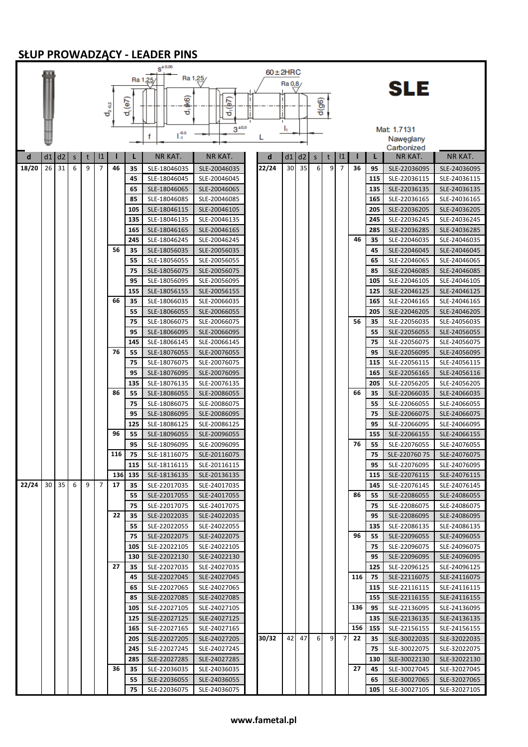## **SŁUP PROWADZĄCY - LEADER PINS**

|       |    |       |             |            |                                |     |                | $S^{\pm 0.05}$               |                              |               |         |       |          |                |                |     |            |                              |                              |
|-------|----|-------|-------------|------------|--------------------------------|-----|----------------|------------------------------|------------------------------|---------------|---------|-------|----------|----------------|----------------|-----|------------|------------------------------|------------------------------|
|       |    |       |             |            |                                |     |                | Ra 1,25                      | Ra 1,25/                     | $60 \pm 2HRC$ |         |       |          |                |                |     |            |                              |                              |
|       |    |       |             |            |                                |     |                |                              |                              |               | Ra 0,8/ |       |          |                |                |     |            | SLE                          |                              |
|       |    |       |             |            |                                |     |                | (loy                         |                              |               |         |       |          |                |                |     |            |                              |                              |
|       |    |       |             |            | $\mathbf{d}_{2}\mathbf{e}_{2}$ |     | $d_{i}$ (e7)   | ಕ                            | $d_1(e7)$                    |               |         |       | $d$ (g6) |                |                |     |            |                              |                              |
|       |    |       |             |            |                                |     |                |                              |                              |               |         |       |          |                |                |     |            |                              |                              |
|       |    |       |             |            |                                |     |                |                              | $3^{10,5}$                   |               | ı,      |       |          |                |                |     |            | Mat 1.7131                   |                              |
|       |    |       |             |            |                                |     |                | $L_1^{0.5}$<br>f             |                              | L             |         |       |          |                |                |     |            | Naweglany                    |                              |
|       |    |       |             |            |                                |     |                |                              |                              |               |         |       |          |                |                |     |            | Carbonized                   |                              |
| d     | d1 | d2    | $\mathsf S$ | t          | $\mathbf{11}$                  |     | L              | NR KAT.                      | NR KAT.                      | d             | d1      | d2    | $\sf S$  | t              | $\mathbf{11}$  |     | L          | NR KAT.                      | <b>NR KAT.</b>               |
| 18/20 | 26 | 31    | 6           | 9          | 7                              | 46  | 35             | SLE-18046035                 | SLE-20046035                 | 22/24         | 30      | 35    | 6        | 9              | 7              | 36  | 95         | SLE-22036095                 | SLE-24036095                 |
|       |    |       |             |            |                                |     | 45             | SLE-18046045                 | SLE-20046045                 |               |         |       |          |                |                |     | 115        | SLE-22036115                 | SLE-24036115                 |
|       |    |       |             |            |                                |     | 65             | SLE-18046065                 | SLE-20046065                 |               |         |       |          |                |                |     | 135        | SLE-22036135                 | SLE-24036135                 |
|       |    |       |             |            |                                |     | 85             | SLE-18046085                 | SLE-20046085                 |               |         |       |          |                |                |     | 165        | SLE-22036165                 | SLE-24036165                 |
|       |    |       |             |            |                                |     | 105            | SLE-18046115                 | SLE-20046105                 |               |         |       |          |                |                |     | 205        | SLE-22036205                 | SLE-24036205                 |
|       |    |       |             |            |                                |     | 135            | SLE-18046135                 | SLE-20046135                 |               |         |       |          |                |                |     | 245        | SLE-22036245                 | SLE-24036245                 |
|       |    |       |             |            |                                |     | 165            | SLE-18046165                 | SLE-20046165                 |               |         |       |          |                |                |     | 285        | SLE-22036285                 | SLE-24036285                 |
|       |    |       |             |            |                                |     | 245            | SLE-18046245                 | SLE-20046245                 |               |         |       |          |                |                | 46  | 35         | SLE-22046035                 | SLE-24046035                 |
|       |    |       |             |            |                                | 56  | 35             | SLE-18056035                 | SLE-20056035                 |               |         |       |          |                |                |     | 45         | SLE-22046045                 | SLE-24046045                 |
|       |    |       |             |            |                                |     | 55<br>75       | SLE-18056055                 | SLE-20056055                 |               |         |       |          |                |                |     | 65<br>85   | SLE-22046065                 | SLE-24046065                 |
|       |    |       |             |            |                                |     | 95             | SLE-18056075<br>SLE-18056095 | SLE-20056075<br>SLE-20056095 |               |         |       |          |                |                |     | 105        | SLE-22046085<br>SLE-22046105 | SLE-24046085<br>SLE-24046105 |
|       |    |       |             |            |                                |     | 155            | SLE-18056155                 | SLE-20056155                 |               |         |       |          |                |                |     | 125        | SLE-22046125                 | SLE-24046125                 |
|       |    |       |             |            |                                | 66  | 35             | SLE-18066035                 | SLE-20066035                 |               |         |       |          |                |                |     | 165        | SLE-22046165                 | SLE-24046165                 |
|       |    |       |             |            |                                |     | 55             | SLE-18066055                 | SLE-20066055                 |               |         |       |          |                |                |     | 205        | SLE-22046205                 | SLE-24046205                 |
|       |    |       |             |            |                                |     | 75             | SLE-18066075                 | SLE-20066075                 |               |         |       |          |                |                | 56  | 35         | SLE-22056035                 | SLE-24056035                 |
|       |    |       |             |            |                                |     | 95             | SLE-18066095                 | SLE-20066095                 |               |         |       |          |                |                |     | 55         | SLE-22056055                 | SLE-24056055                 |
|       |    |       |             |            |                                |     | 145            | SLE-18066145                 | SLE-20066145                 |               |         |       |          |                |                |     | 75         | SLE-22056075                 | SLE-24056075                 |
|       |    |       |             |            |                                | 76  | 55             | SLE-18076055                 | SLE-20076055                 |               |         |       |          |                |                |     | 95         | SLE-22056095                 | SLE-24056095                 |
|       |    |       |             |            |                                |     | 75             | SLE-18076075                 | SLE-20076075                 |               |         |       |          |                |                |     | 115        | SLE-22056115                 | SLE-24056115                 |
|       |    |       |             |            |                                |     | 95             | SLE-18076095                 | SLE-20076095                 |               |         |       |          |                |                |     | 165        | SLE-22056165                 | SLE-24056116                 |
|       |    |       |             |            |                                |     | 135            | SLE-18076135                 | SLE-20076135                 |               |         |       |          |                |                |     | 205        | SLE-22056205                 | SLE-24056205                 |
|       |    |       |             |            |                                | 86  | 55             | SLE-18086055                 | SLE-20086055                 |               |         |       |          |                |                | 66  | 35         | SLE-22066035                 | SLE-24066035                 |
|       |    |       |             |            |                                |     | 75             | SLE-18086075                 | SLE-20086075                 |               |         |       |          |                |                |     | 55         | SLE-22066055                 | SLE-24066055                 |
|       |    |       |             |            |                                |     | 95             | SLE-18086095                 | SLE-20086095                 |               |         |       |          |                |                |     | 75         | SLE-22066075                 | SLE-24066075                 |
|       |    |       |             |            |                                |     | 125            | SLE-18086125                 | SLE-20086125                 |               |         |       |          |                |                |     | 95         | SLE-22066095                 | SLE-24066095                 |
|       |    |       |             |            |                                | 96  | 55             | SLE-18096055                 | SLE-20096055                 |               |         |       |          |                |                |     | 155        | SLE-22066155                 | SLE-24066155                 |
|       |    |       |             |            |                                |     | 95             | SLE-18096095                 | SLE-20096095                 |               |         |       |          |                |                | 76  | 55         | SLE-22076055                 | SLE-24076055                 |
|       |    |       |             |            |                                | 116 | 75             | SLE-18116075                 | SLE-20116075                 |               |         |       |          |                |                |     | 75         | SLE-220760 75                | SLE-24076075                 |
|       |    |       |             |            |                                |     | 115<br>136 135 | SLE-18116115                 | SLE-20116115                 |               |         |       |          |                |                |     | 95         | SLE-22076095                 | SLE-24076095                 |
| 22/24 |    | 30 35 | 6           | $9 \mid 7$ |                                | 17  | 35             | SLE-18136135<br>SLE-22017035 | SLE-20136135<br>SLE-24017035 |               |         |       |          |                |                |     | 115<br>145 | SLE-22076115<br>SLE-22076145 | SLE-24076115<br>SLE-24076145 |
|       |    |       |             |            |                                |     | 55             | SLE-22017055                 | SLE-24017055                 |               |         |       |          |                |                | 86  | 55         | SLE-22086055                 | SLE-24086055                 |
|       |    |       |             |            |                                |     | 75             | SLE-22017075                 | SLE-24017075                 |               |         |       |          |                |                |     | 75         | SLE-22086075                 | SLE-24086075                 |
|       |    |       |             |            |                                | 22  | 35             | SLE-22022035                 | SLE-24022035                 |               |         |       |          |                |                |     | 95         | SLE-22086095                 | SLE-24086095                 |
|       |    |       |             |            |                                |     | 55             | SLE-22022055                 | SLE-24022055                 |               |         |       |          |                |                |     | 135        | SLE-22086135                 | SLE-24086135                 |
|       |    |       |             |            |                                |     | 75             | SLE-22022075                 | SLE-24022075                 |               |         |       |          |                |                | 96  | 55         | SLE-22096055                 | SLE-24096055                 |
|       |    |       |             |            |                                |     | 105            | SLE-22022105                 | SLE-24022105                 |               |         |       |          |                |                |     | 75         | SLE-22096075                 | SLE-24096075                 |
|       |    |       |             |            |                                |     | 130            | SLE-22022130                 | SLE-24022130                 |               |         |       |          |                |                |     | 95         | SLE-22096095                 | SLE-24096095                 |
|       |    |       |             |            |                                | 27  | 35             | SLE-22027035                 | SLE-24027035                 |               |         |       |          |                |                |     | 125        | SLE-22096125                 | SLE-24096125                 |
|       |    |       |             |            |                                |     | 45             | SLE-22027045                 | SLE-24027045                 |               |         |       |          |                |                | 116 | - 75       | SLE-22116075                 | SLE-24116075                 |
|       |    |       |             |            |                                |     | 65             | SLE-22027065                 | SLE-24027065                 |               |         |       |          |                |                |     | 115        | SLE-22116115                 | SLE-24116115                 |
|       |    |       |             |            |                                |     | 85             | SLE-22027085                 | SLE-24027085                 |               |         |       |          |                |                |     | 155        | SLE-22116155                 | SLE-24116155                 |
|       |    |       |             |            |                                |     | 105            | SLE-22027105                 | SLE-24027105                 |               |         |       |          |                |                | 136 | 95         | SLE-22136095                 | SLE-24136095                 |
|       |    |       |             |            |                                |     | 125            | SLE-22027125                 | SLE-24027125                 |               |         |       |          |                |                |     | 135        | SLE-22136135                 | SLE-24136135                 |
|       |    |       |             |            |                                |     | 165            | SLE-22027165                 | SLE-24027165                 | 30/32         |         | 42 47 | $6 \mid$ | 9 <sup>1</sup> | 7 <sup>1</sup> | 156 | 155        | SLE-22156155                 | SLE-24156155                 |
|       |    |       |             |            |                                |     | 205            | SLE-22027205<br>SLE-22027245 | SLE-24027205                 |               |         |       |          |                |                | 22  | 35<br>75   | SLE-30022035                 | SLE-32022035                 |
|       |    |       |             |            |                                |     | 245<br>285     | SLE-22027285                 | SLE-24027245<br>SLE-24027285 |               |         |       |          |                |                |     | 130        | SLE-30022075<br>SLE-30022130 | SLE-32022075<br>SLE-32022130 |
|       |    |       |             |            |                                | 36  | 35             | SLE-22036035                 | SLE-24036035                 |               |         |       |          |                |                | 27  | 45         | SLE-30027045                 | SLE-32027045                 |
|       |    |       |             |            |                                |     | 55             | SLE-22036055                 | SLE-24036055                 |               |         |       |          |                |                |     | 65         | SLE-30027065                 | SLE-32027065                 |
|       |    |       |             |            |                                |     | 75             | SLE-22036075                 | SLE-24036075                 |               |         |       |          |                |                |     | 105        | SLE-30027105                 | SLE-32027105                 |